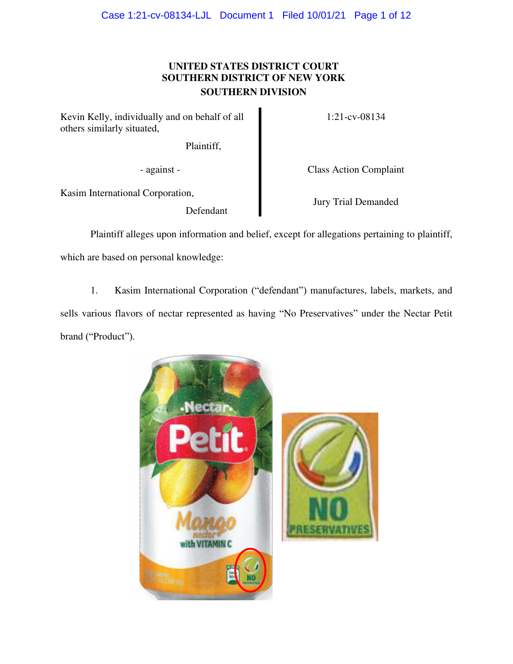# **UNITED STATES DISTRICT COURT SOUTHERN DISTRICT OF NEW YORK SOUTHERN DIVISION**

Kevin Kelly, individually and on behalf of all others similarly situated,

Plaintiff,

1:21-cv-08134

- against - Class Action Complaint

Kasim International Corporation,

Defendant

Jury Trial Demanded

Plaintiff alleges upon information and belief, except for allegations pertaining to plaintiff, which are based on personal knowledge:

1. Kasim International Corporation ("defendant") manufactures, labels, markets, and sells various flavors of nectar represented as having "No Preservatives" under the Nectar Petit brand ("Product").

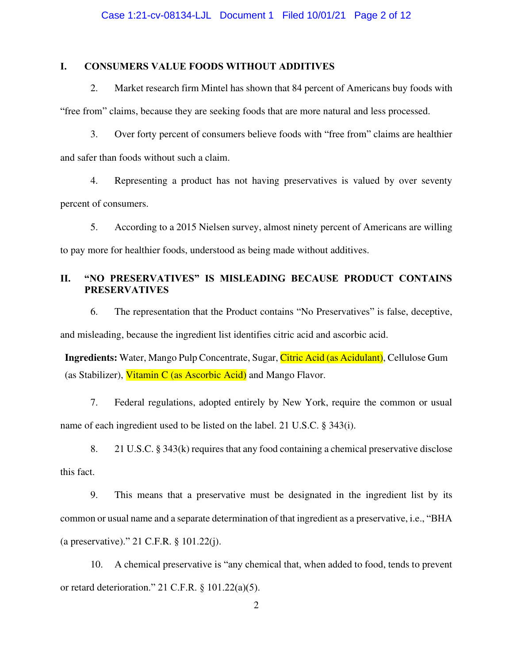# **I. CONSUMERS VALUE FOODS WITHOUT ADDITIVES**

2. Market research firm Mintel has shown that 84 percent of Americans buy foods with "free from" claims, because they are seeking foods that are more natural and less processed.

3. Over forty percent of consumers believe foods with "free from" claims are healthier and safer than foods without such a claim.

4. Representing a product has not having preservatives is valued by over seventy percent of consumers.

5. According to a 2015 Nielsen survey, almost ninety percent of Americans are willing to pay more for healthier foods, understood as being made without additives.

# **II.** "NO PRESERVATIVES" IS MISLEADING BECAUSE PRODUCT CONTAINS **PRESERVATIVES**

6. The representation that the Product contains "No Preservatives" is false, deceptive, and misleading, because the ingredient list identifies citric acid and ascorbic acid.

**Ingredients:** Water, Mango Pulp Concentrate, Sugar, Citric Acid (as Acidulant), Cellulose Gum (as Stabilizer), Vitamin C (as Ascorbic Acid) and Mango Flavor.

7. Federal regulations, adopted entirely by New York, require the common or usual name of each ingredient used to be listed on the label. 21 U.S.C. § 343(i).

8. 21 U.S.C. § 343(k) requires that any food containing a chemical preservative disclose this fact.

9. This means that a preservative must be designated in the ingredient list by its common or usual name and a separate determination of that ingredient as a preservative, i.e., "BHA (a preservative)." 21 C.F.R. § 101.22(j).

10. A chemical preservative is "any chemical that, when added to food, tends to prevent or retard deterioration." 21 C.F.R. § 101.22(a)(5).

2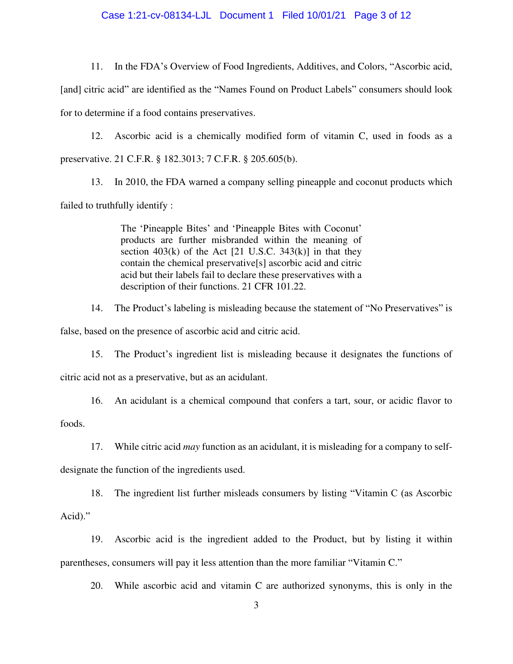## Case 1:21-cv-08134-LJL Document 1 Filed 10/01/21 Page 3 of 12

11. In the FDA's Overview of Food Ingredients, Additives, and Colors, "Ascorbic acid,

[and] citric acid" are identified as the "Names Found on Product Labels" consumers should look for to determine if a food contains preservatives.

12. Ascorbic acid is a chemically modified form of vitamin C, used in foods as a preservative. 21 C.F.R. § 182.3013; 7 C.F.R. § 205.605(b).

13. In 2010, the FDA warned a company selling pineapple and coconut products which failed to truthfully identify :

> The 'Pineapple Bites' and 'Pineapple Bites with Coconut' products are further misbranded within the meaning of section  $403(k)$  of the Act [21 U.S.C. 343(k)] in that they contain the chemical preservative[s] ascorbic acid and citric acid but their labels fail to declare these preservatives with a description of their functions. 21 CFR 101.22.

14. The Product's labeling is misleading because the statement of "No Preservatives" is false, based on the presence of ascorbic acid and citric acid.

15. The Product's ingredient list is misleading because it designates the functions of citric acid not as a preservative, but as an acidulant.

16. An acidulant is a chemical compound that confers a tart, sour, or acidic flavor to

foods.

17. While citric acid *may* function as an acidulant, it is misleading for a company to self-

designate the function of the ingredients used.

18. The ingredient list further misleads consumers by listing "Vitamin C (as Ascorbic

Acid)."

19. Ascorbic acid is the ingredient added to the Product, but by listing it within parentheses, consumers will pay it less attention than the more familiar "Vitamin C."

20. While ascorbic acid and vitamin C are authorized synonyms, this is only in the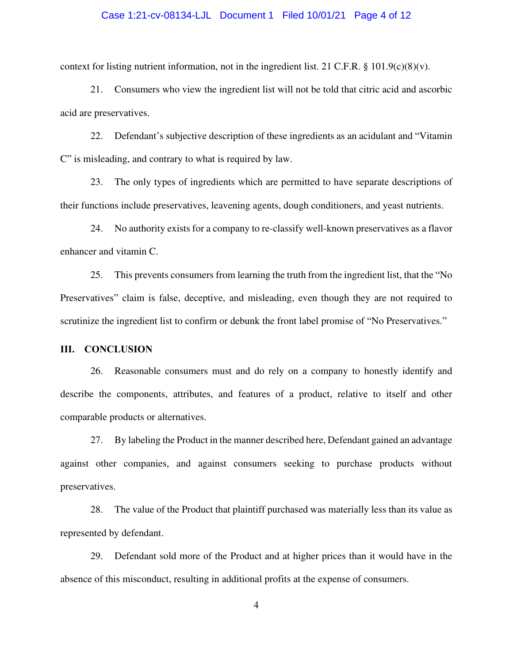## Case 1:21-cv-08134-LJL Document 1 Filed 10/01/21 Page 4 of 12

context for listing nutrient information, not in the ingredient list. 21 C.F.R. § 101.9(c)(8)(v).

21. Consumers who view the ingredient list will not be told that citric acid and ascorbic acid are preservatives.

22. Defendant's subjective description of these ingredients as an acidulant and "Vitamin C" is misleading, and contrary to what is required by law.

23. The only types of ingredients which are permitted to have separate descriptions of their functions include preservatives, leavening agents, dough conditioners, and yeast nutrients.

24. No authority exists for a company to re-classify well-known preservatives as a flavor enhancer and vitamin C.

25. This prevents consumers from learning the truth from the ingredient list, that the "No Preservatives" claim is false, deceptive, and misleading, even though they are not required to scrutinize the ingredient list to confirm or debunk the front label promise of "No Preservatives."

## **III. CONCLUSION**

26. Reasonable consumers must and do rely on a company to honestly identify and describe the components, attributes, and features of a product, relative to itself and other comparable products or alternatives.

27. By labeling the Product in the manner described here, Defendant gained an advantage against other companies, and against consumers seeking to purchase products without preservatives.

28. The value of the Product that plaintiff purchased was materially less than its value as represented by defendant.

29. Defendant sold more of the Product and at higher prices than it would have in the absence of this misconduct, resulting in additional profits at the expense of consumers.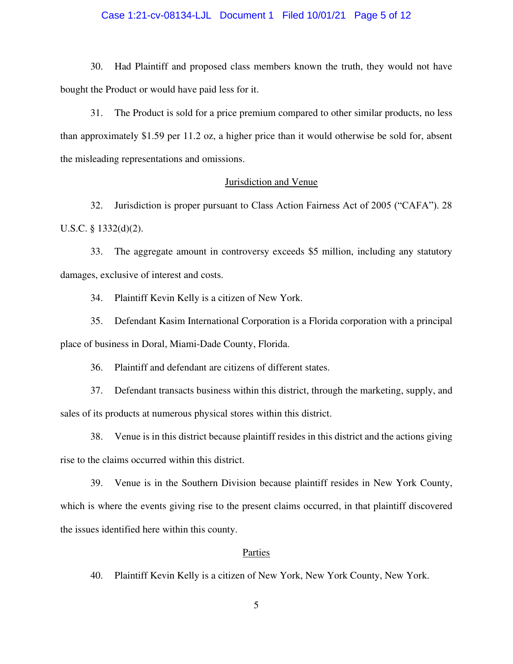## Case 1:21-cv-08134-LJL Document 1 Filed 10/01/21 Page 5 of 12

30. Had Plaintiff and proposed class members known the truth, they would not have bought the Product or would have paid less for it.

31. The Product is sold for a price premium compared to other similar products, no less than approximately \$1.59 per 11.2 oz, a higher price than it would otherwise be sold for, absent the misleading representations and omissions.

## Jurisdiction and Venue

32. Jurisdiction is proper pursuant to Class Action Fairness Act of 2005 ("CAFA"). 28 U.S.C. § 1332(d)(2).

33. The aggregate amount in controversy exceeds \$5 million, including any statutory damages, exclusive of interest and costs.

34. Plaintiff Kevin Kelly is a citizen of New York.

35. Defendant Kasim International Corporation is a Florida corporation with a principal place of business in Doral, Miami-Dade County, Florida.

36. Plaintiff and defendant are citizens of different states.

37. Defendant transacts business within this district, through the marketing, supply, and sales of its products at numerous physical stores within this district.

38. Venue is in this district because plaintiff resides in this district and the actions giving rise to the claims occurred within this district.

39. Venue is in the Southern Division because plaintiff resides in New York County, which is where the events giving rise to the present claims occurred, in that plaintiff discovered the issues identified here within this county.

## Parties

40. Plaintiff Kevin Kelly is a citizen of New York, New York County, New York.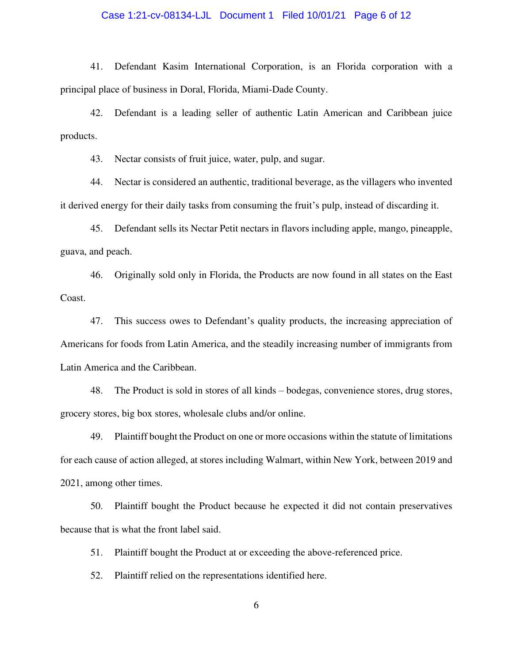## Case 1:21-cv-08134-LJL Document 1 Filed 10/01/21 Page 6 of 12

41. Defendant Kasim International Corporation, is an Florida corporation with a principal place of business in Doral, Florida, Miami-Dade County.

42. Defendant is a leading seller of authentic Latin American and Caribbean juice products.

43. Nectar consists of fruit juice, water, pulp, and sugar.

44. Nectar is considered an authentic, traditional beverage, as the villagers who invented it derived energy for their daily tasks from consuming the fruit's pulp, instead of discarding it.

45. Defendant sells its Nectar Petit nectars in flavors including apple, mango, pineapple, guava, and peach.

46. Originally sold only in Florida, the Products are now found in all states on the East Coast.

47. This success owes to Defendant's quality products, the increasing appreciation of Americans for foods from Latin America, and the steadily increasing number of immigrants from Latin America and the Caribbean.

48. The Product is sold in stores of all kinds – bodegas, convenience stores, drug stores, grocery stores, big box stores, wholesale clubs and/or online.

49. Plaintiff bought the Product on one or more occasions within the statute of limitations for each cause of action alleged, at stores including Walmart, within New York, between 2019 and 2021, among other times.

50. Plaintiff bought the Product because he expected it did not contain preservatives because that is what the front label said.

51. Plaintiff bought the Product at or exceeding the above-referenced price.

52. Plaintiff relied on the representations identified here.

6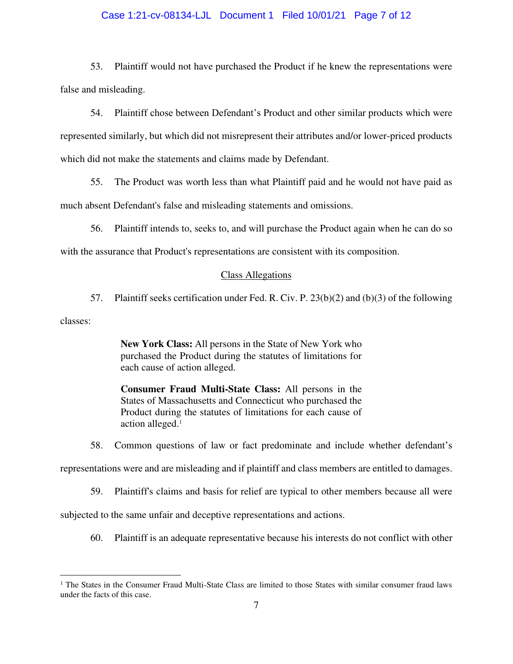## Case 1:21-cv-08134-LJL Document 1 Filed 10/01/21 Page 7 of 12

53. Plaintiff would not have purchased the Product if he knew the representations were false and misleading.

54. Plaintiff chose between Defendant's Product and other similar products which were represented similarly, but which did not misrepresent their attributes and/or lower-priced products which did not make the statements and claims made by Defendant.

55. The Product was worth less than what Plaintiff paid and he would not have paid as much absent Defendant's false and misleading statements and omissions.

56. Plaintiff intends to, seeks to, and will purchase the Product again when he can do so with the assurance that Product's representations are consistent with its composition.

#### Class Allegations

57. Plaintiff seeks certification under Fed. R. Civ. P. 23(b)(2) and (b)(3) of the following

classes:

**New York Class:** All persons in the State of New York who purchased the Product during the statutes of limitations for each cause of action alleged.

**Consumer Fraud Multi-State Class:** All persons in the States of Massachusetts and Connecticut who purchased the Product during the statutes of limitations for each cause of action alleged.<sup>1</sup>

58. Common questions of law or fact predominate and include whether defendant's

representations were and are misleading and if plaintiff and class members are entitled to damages.

59. Plaintiff's claims and basis for relief are typical to other members because all were

subjected to the same unfair and deceptive representations and actions.

60. Plaintiff is an adequate representative because his interests do not conflict with other

<sup>&</sup>lt;sup>1</sup> The States in the Consumer Fraud Multi-State Class are limited to those States with similar consumer fraud laws under the facts of this case.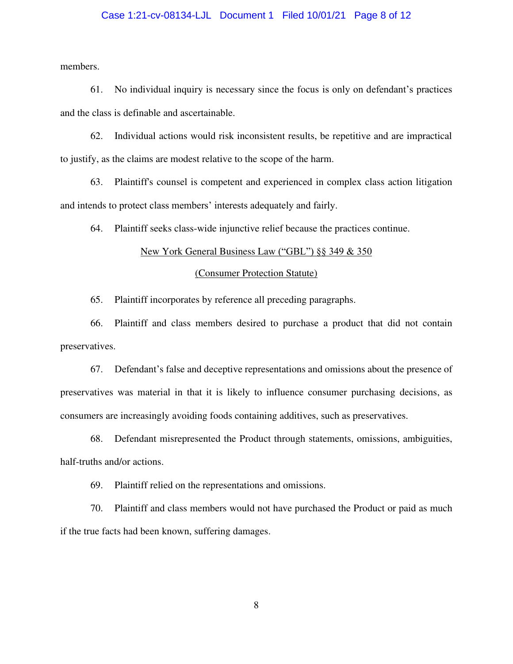## Case 1:21-cv-08134-LJL Document 1 Filed 10/01/21 Page 8 of 12

members.

61. No individual inquiry is necessary since the focus is only on defendant's practices and the class is definable and ascertainable.

62. Individual actions would risk inconsistent results, be repetitive and are impractical to justify, as the claims are modest relative to the scope of the harm.

63. Plaintiff's counsel is competent and experienced in complex class action litigation and intends to protect class members' interests adequately and fairly.

64. Plaintiff seeks class-wide injunctive relief because the practices continue.

## New York General Business Law ("GBL") §§ 349 & 350

#### (Consumer Protection Statute)

65. Plaintiff incorporates by reference all preceding paragraphs.

66. Plaintiff and class members desired to purchase a product that did not contain preservatives.

67. Defendant's false and deceptive representations and omissions about the presence of preservatives was material in that it is likely to influence consumer purchasing decisions, as consumers are increasingly avoiding foods containing additives, such as preservatives.

68. Defendant misrepresented the Product through statements, omissions, ambiguities, half-truths and/or actions.

69. Plaintiff relied on the representations and omissions.

70. Plaintiff and class members would not have purchased the Product or paid as much if the true facts had been known, suffering damages.

8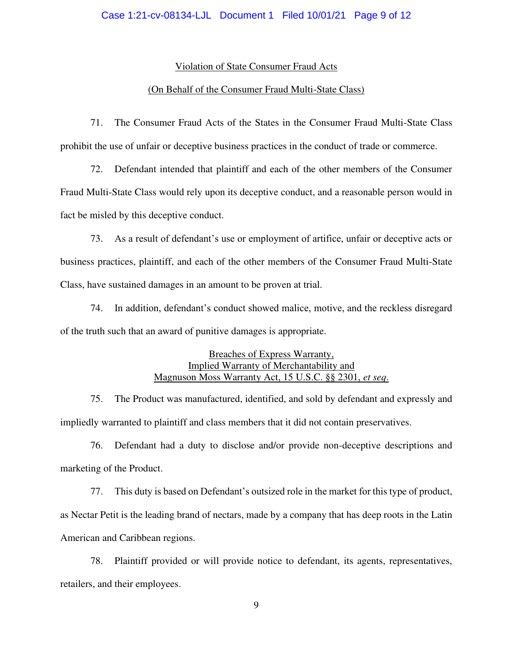## Violation of State Consumer Fraud Acts

## (On Behalf of the Consumer Fraud Multi-State Class)

71. The Consumer Fraud Acts of the States in the Consumer Fraud Multi-State Class prohibit the use of unfair or deceptive business practices in the conduct of trade or commerce.

72. Defendant intended that plaintiff and each of the other members of the Consumer Fraud Multi-State Class would rely upon its deceptive conduct, and a reasonable person would in fact be misled by this deceptive conduct.

73. As a result of defendant's use or employment of artifice, unfair or deceptive acts or business practices, plaintiff, and each of the other members of the Consumer Fraud Multi-State Class, have sustained damages in an amount to be proven at trial.

74. In addition, defendant's conduct showed malice, motive, and the reckless disregard of the truth such that an award of punitive damages is appropriate.

# Breaches of Express Warranty, Implied Warranty of Merchantability and Magnuson Moss Warranty Act, 15 U.S.C. §§ 2301, *et seq*.

75. The Product was manufactured, identified, and sold by defendant and expressly and impliedly warranted to plaintiff and class members that it did not contain preservatives.

76. Defendant had a duty to disclose and/or provide non-deceptive descriptions and marketing of the Product.

77. This duty is based on Defendant's outsized role in the market for this type of product, as Nectar Petit is the leading brand of nectars, made by a company that has deep roots in the Latin American and Caribbean regions.

78. Plaintiff provided or will provide notice to defendant, its agents, representatives, retailers, and their employees.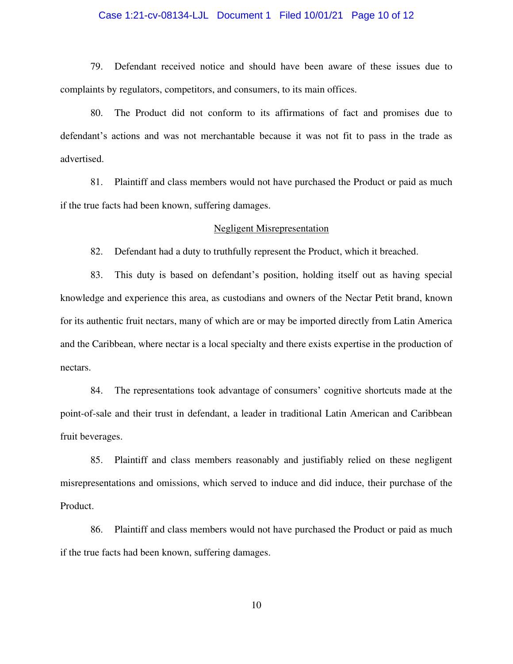## Case 1:21-cv-08134-LJL Document 1 Filed 10/01/21 Page 10 of 12

79. Defendant received notice and should have been aware of these issues due to complaints by regulators, competitors, and consumers, to its main offices.

80. The Product did not conform to its affirmations of fact and promises due to defendant's actions and was not merchantable because it was not fit to pass in the trade as advertised.

81. Plaintiff and class members would not have purchased the Product or paid as much if the true facts had been known, suffering damages.

#### Negligent Misrepresentation

82. Defendant had a duty to truthfully represent the Product, which it breached.

83. This duty is based on defendant's position, holding itself out as having special knowledge and experience this area, as custodians and owners of the Nectar Petit brand, known for its authentic fruit nectars, many of which are or may be imported directly from Latin America and the Caribbean, where nectar is a local specialty and there exists expertise in the production of nectars.

84. The representations took advantage of consumers' cognitive shortcuts made at the point-of-sale and their trust in defendant, a leader in traditional Latin American and Caribbean fruit beverages.

85. Plaintiff and class members reasonably and justifiably relied on these negligent misrepresentations and omissions, which served to induce and did induce, their purchase of the Product.

86. Plaintiff and class members would not have purchased the Product or paid as much if the true facts had been known, suffering damages.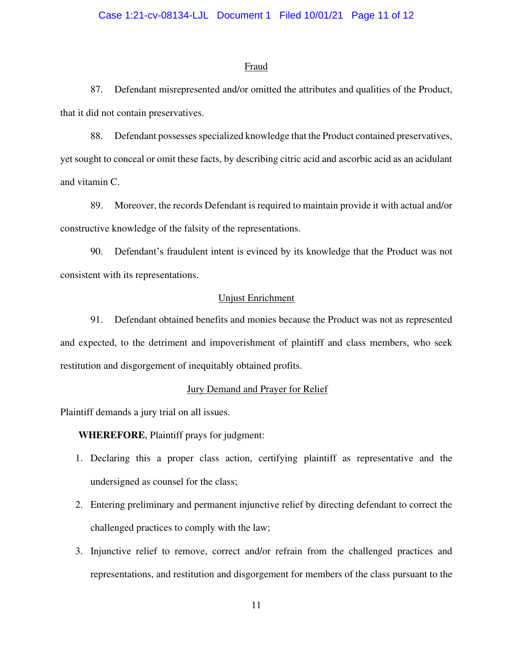## Case 1:21-cv-08134-LJL Document 1 Filed 10/01/21 Page 11 of 12

#### **Fraud**

87. Defendant misrepresented and/or omitted the attributes and qualities of the Product, that it did not contain preservatives.

88. Defendant possesses specialized knowledge that the Product contained preservatives, yet sought to conceal or omit these facts, by describing citric acid and ascorbic acid as an acidulant and vitamin C.

89. Moreover, the records Defendant is required to maintain provide it with actual and/or constructive knowledge of the falsity of the representations.

90. Defendant's fraudulent intent is evinced by its knowledge that the Product was not consistent with its representations.

## Unjust Enrichment

91. Defendant obtained benefits and monies because the Product was not as represented and expected, to the detriment and impoverishment of plaintiff and class members, who seek restitution and disgorgement of inequitably obtained profits.

# Jury Demand and Prayer for Relief

Plaintiff demands a jury trial on all issues.

# **WHEREFORE**, Plaintiff prays for judgment:

- 1. Declaring this a proper class action, certifying plaintiff as representative and the undersigned as counsel for the class;
- 2. Entering preliminary and permanent injunctive relief by directing defendant to correct the challenged practices to comply with the law;
- 3. Injunctive relief to remove, correct and/or refrain from the challenged practices and representations, and restitution and disgorgement for members of the class pursuant to the